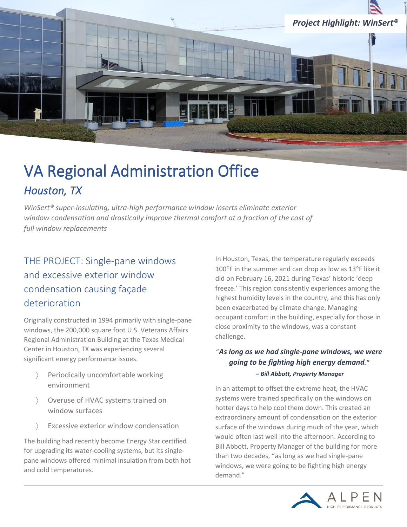

# VA Regional Administration Office *Houston, TX*

*WinSert® super-insulating, ultra-high performance window inserts eliminate exterior window condensation and drastically improve thermal comfort at a fraction of the cost of full window replacements* 

# THE PROJECT: Single-pane windows and excessive exterior window condensation causing façade deterioration

Originally constructed in 1994 primarily with single-pane windows, the 200,000 square foot U.S. Veterans Affairs Regional Administration Building at the Texas Medical Center in Houston, TX was experiencing several significant energy performance issues.

- Periodically uncomfortable working environment
- Overuse of HVAC systems trained on window surfaces
- Excessive exterior window condensation

The building had recently become Energy Star certified for upgrading its water-cooling systems, but its singlepane windows offered minimal insulation from both hot and cold temperatures.

In Houston, Texas, the temperature regularly exceeds 100 $\degree$ F in the summer and can drop as low as 13 $\degree$ F like it did on February 16, 2021 during Texas' historic 'deep freeze.' This region consistently experiences among the highest humidity levels in the country, and this has only been exacerbated by climate change. Managing occupant comfort in the building, especially for those in close proximity to the windows, was a constant challenge.

#### "*As long as we had single-pane windows, we were going to be fighting high energy demand." – Bill Abbott, Property Manager*

In an attempt to offset the extreme heat, the HVAC systems were trained specifically on the windows on hotter days to help cool them down. This created an extraordinary amount of condensation on the exterior surface of the windows during much of the year, which would often last well into the afternoon. According to Bill Abbott, Property Manager of the building for more than two decades, "as long as we had single-pane windows, we were going to be fighting high energy demand."

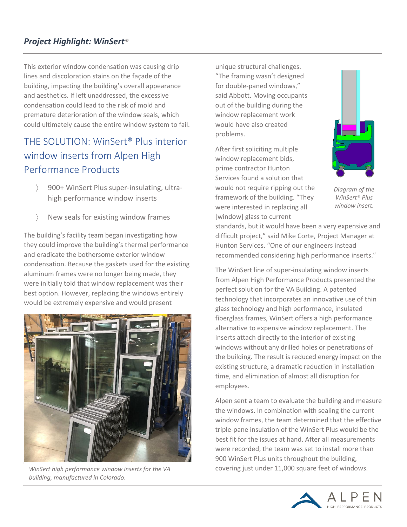### *Project Highlight: WinSert®*

This exterior window condensation was causing drip lines and discoloration stains on the façade of the building, impacting the building's overall appearance and aesthetics. If left unaddressed, the excessive condensation could lead to the risk of mold and premature deterioration of the window seals, which could ultimately cause the entire window system to fail.

# THE SOLUTION: WinSert® Plus interior window inserts from Alpen High Performance Products

- 900+ WinSert Plus super-insulating, ultrahigh performance window inserts
- New seals for existing window frames

The building's facility team began investigating how they could improve the building's thermal performance and eradicate the bothersome exterior window condensation. Because the gaskets used for the existing aluminum frames were no longer being made, they were initially told that window replacement was their best option. However, replacing the windows entirely would be extremely expensive and would present



*WinSert high performance window inserts for the VA building, manufactured in Colorado.*

unique structural challenges. "The framing wasn't designed for double-paned windows," said Abbott. Moving occupants out of the building during the window replacement work would have also created problems.

After first soliciting multiple window replacement bids, prime contractor Hunton Services found a solution that would not require ripping out the framework of the building. "They were interested in replacing all [window] glass to current



*Diagram of the WinSert® Plus window insert.*

standards, but it would have been a very expensive and difficult project," said Mike Corte, Project Manager at Hunton Services. "One of our engineers instead recommended considering high performance inserts."

The WinSert line of super-insulating window inserts from Alpen High Performance Products presented the perfect solution for the VA Building. A patented technology that incorporates an innovative use of thin glass technology and high performance, insulated fiberglass frames, WinSert offers a high performance alternative to expensive window replacement. The inserts attach directly to the interior of existing windows without any drilled holes or penetrations of the building. The result is reduced energy impact on the existing structure, a dramatic reduction in installation time, and elimination of almost all disruption for employees.

Alpen sent a team to evaluate the building and measure the windows. In combination with sealing the current window frames, the team determined that the effective triple-pane insulation of the WinSert Plus would be the best fit for the issues at hand. After all measurements were recorded, the team was set to install more than 900 WinSert Plus units throughout the building, covering just under 11,000 square feet of windows.

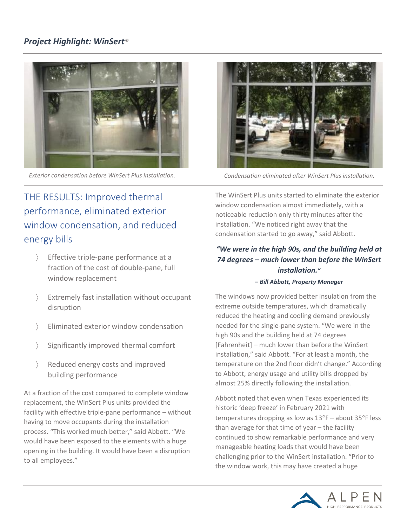### *Project Highlight: WinSert®*



*Exterior condensation before WinSert Plus installation. Condensation eliminated after WinSert Plus installation.*

# THE RESULTS: Improved thermal performance, eliminated exterior window condensation, and reduced energy bills

- Fffective triple-pane performance at a fraction of the cost of double-pane, full window replacement
- Extremely fast installation without occupant disruption
- Eliminated exterior window condensation
- Significantly improved thermal comfort
- Reduced energy costs and improved building performance

At a fraction of the cost compared to complete window replacement, the WinSert Plus units provided the facility with effective triple-pane performance – without having to move occupants during the installation process. "This worked much better," said Abbott. "We would have been exposed to the elements with a huge opening in the building. It would have been a disruption to all employees."



The WinSert Plus units started to eliminate the exterior window condensation almost immediately, with a noticeable reduction only thirty minutes after the installation. "We noticed right away that the condensation started to go away," said Abbott.

### *"We were in the high 90s, and the building held at 74 degrees – much lower than before the WinSert installation."*

#### *– Bill Abbott, Property Manager*

The windows now provided better insulation from the extreme outside temperatures, which dramatically reduced the heating and cooling demand previously needed for the single-pane system. "We were in the high 90s and the building held at 74 degrees [Fahrenheit] – much lower than before the WinSert installation," said Abbott. "For at least a month, the temperature on the 2nd floor didn't change." According to Abbott, energy usage and utility bills dropped by almost 25% directly following the installation.

Abbott noted that even when Texas experienced its historic 'deep freeze' in February 2021 with temperatures dropping as low as  $13^{\circ}F$  – about  $35^{\circ}F$  less than average for that time of year – the facility continued to show remarkable performance and very manageable heating loads that would have been challenging prior to the WinSert installation. "Prior to the window work, this may have created a huge

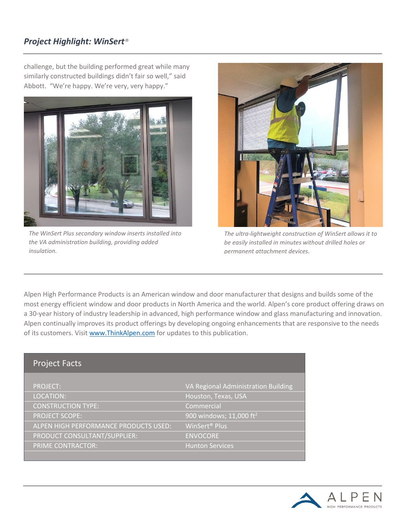### *Project Highlight: WinSert®*

challenge, but the building performed great while many similarly constructed buildings didn't fair so well," said Abbott. "We're happy. We're very, very happy."



*The WinSert Plus secondary window inserts installed into the VA administration building, providing added insulation.*



*The ultra-lightweight construction of WinSert allows it to be easily installed in minutes without drilled holes or permanent attachment devices.*

Alpen High Performance Products is an American window and door manufacturer that designs and builds some of the most energy efficient window and door products in North America and the world. Alpen's core product offering draws on a 30-year history of industry leadership in advanced, high performance window and glass manufacturing and innovation. Alpen continually improves its product offerings by developing ongoing enhancements that are responsive to the needs of its customers. Visit [www.ThinkAlpen.com](http://www.thinkalpen.com/) for updates to this publication.

#### Project Facts

| <b>PROJECT:</b>                       | VA Regional Administration Building |
|---------------------------------------|-------------------------------------|
| LOCATION:                             | Houston, Texas, USA                 |
| <b>CONSTRUCTION TYPE:</b>             | Commercial                          |
| <b>PROJECT SCOPE:</b>                 | 900 windows; 11,000 ft <sup>2</sup> |
| ALPEN HIGH PERFORMANCE PRODUCTS USED: | WinSert <sup>®</sup> Plus           |
| PRODUCT CONSULTANT/SUPPLIER:          | <b>ENVOCORE</b>                     |
| <b>PRIME CONTRACTOR:</b>              | <b>Hunton Services</b>              |
|                                       |                                     |

![](_page_3_Picture_9.jpeg)